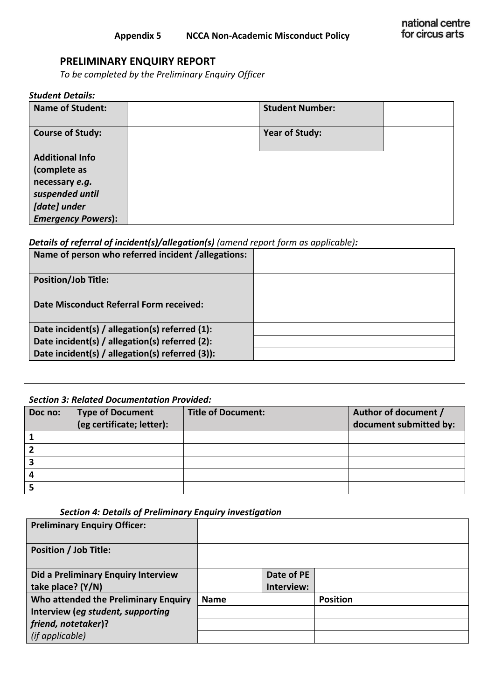# **PRELIMINARY ENQUIRY REPORT**

*To be completed by the Preliminary Enquiry Officer*

#### *Student Details:*

| <b>Name of Student:</b>   | <b>Student Number:</b> |  |
|---------------------------|------------------------|--|
| <b>Course of Study:</b>   | <b>Year of Study:</b>  |  |
| <b>Additional Info</b>    |                        |  |
| (complete as              |                        |  |
| necessary e.g.            |                        |  |
| suspended until           |                        |  |
| [date] under              |                        |  |
| <b>Emergency Powers):</b> |                        |  |

# *Details of referral of incident(s)/allegation(s) (amend report form as applicable):*

| Name of person who referred incident /allegations: |  |
|----------------------------------------------------|--|
| <b>Position/Job Title:</b>                         |  |
| <b>Date Misconduct Referral Form received:</b>     |  |
| Date incident(s) / allegation(s) referred (1):     |  |
| Date incident(s) / allegation(s) referred (2):     |  |
| Date incident(s) / allegation(s) referred (3)):    |  |

#### *Section 3: Related Documentation Provided:*

| Doc no: | <b>Type of Document</b><br>(eg certificate; letter): | <b>Title of Document:</b> | Author of document /<br>document submitted by: |
|---------|------------------------------------------------------|---------------------------|------------------------------------------------|
|         |                                                      |                           |                                                |
|         |                                                      |                           |                                                |
|         |                                                      |                           |                                                |
|         |                                                      |                           |                                                |
|         |                                                      |                           |                                                |

#### *Section 4: Details of Preliminary Enquiry investigation*

| <b>Preliminary Enquiry Officer:</b>  |             |            |                 |
|--------------------------------------|-------------|------------|-----------------|
| <b>Position / Job Title:</b>         |             |            |                 |
| Did a Preliminary Enquiry Interview  |             | Date of PE |                 |
| take place? (Y/N)                    |             | Interview: |                 |
| Who attended the Preliminary Enquiry | <b>Name</b> |            | <b>Position</b> |
| Interview (eg student, supporting    |             |            |                 |
| friend, notetaker)?                  |             |            |                 |
| (if applicable)                      |             |            |                 |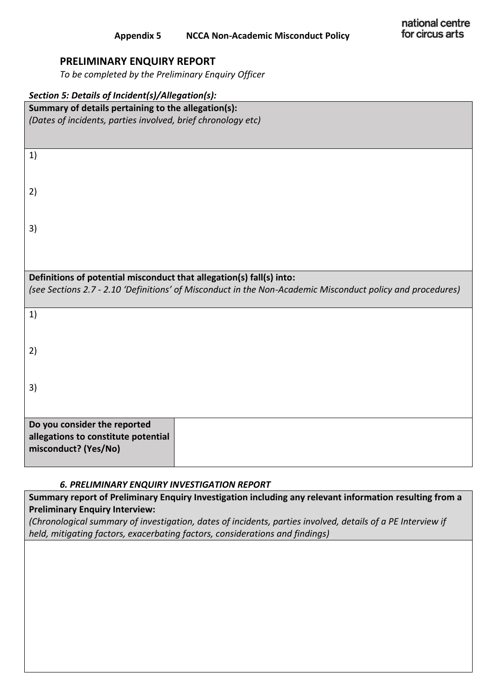# **PRELIMINARY ENQUIRY REPORT**

*To be completed by the Preliminary Enquiry Officer*

| Section 5: Details of Incident(s)/Allegation(s):                     |                                                                                                            |
|----------------------------------------------------------------------|------------------------------------------------------------------------------------------------------------|
| Summary of details pertaining to the allegation(s):                  |                                                                                                            |
| (Dates of incidents, parties involved, brief chronology etc)         |                                                                                                            |
|                                                                      |                                                                                                            |
|                                                                      |                                                                                                            |
| 1)                                                                   |                                                                                                            |
|                                                                      |                                                                                                            |
|                                                                      |                                                                                                            |
| 2)                                                                   |                                                                                                            |
|                                                                      |                                                                                                            |
|                                                                      |                                                                                                            |
| 3)                                                                   |                                                                                                            |
|                                                                      |                                                                                                            |
|                                                                      |                                                                                                            |
|                                                                      |                                                                                                            |
| Definitions of potential misconduct that allegation(s) fall(s) into: |                                                                                                            |
|                                                                      | (see Sections 2.7 - 2.10 'Definitions' of Misconduct in the Non-Academic Misconduct policy and procedures) |
|                                                                      |                                                                                                            |
| 1)                                                                   |                                                                                                            |
|                                                                      |                                                                                                            |
|                                                                      |                                                                                                            |
| 2)                                                                   |                                                                                                            |
|                                                                      |                                                                                                            |
|                                                                      |                                                                                                            |
| 3)                                                                   |                                                                                                            |
|                                                                      |                                                                                                            |
|                                                                      |                                                                                                            |
| Do you consider the reported                                         |                                                                                                            |
| allegations to constitute potential                                  |                                                                                                            |
| misconduct? (Yes/No)                                                 |                                                                                                            |
|                                                                      |                                                                                                            |
|                                                                      |                                                                                                            |

### *6. PRELIMINARY ENQUIRY INVESTIGATION REPORT*

**Summary report of Preliminary Enquiry Investigation including any relevant information resulting from a Preliminary Enquiry Interview:**

*(Chronological summary of investigation, dates of incidents, parties involved, details of a PE Interview if held, mitigating factors, exacerbating factors, considerations and findings)*